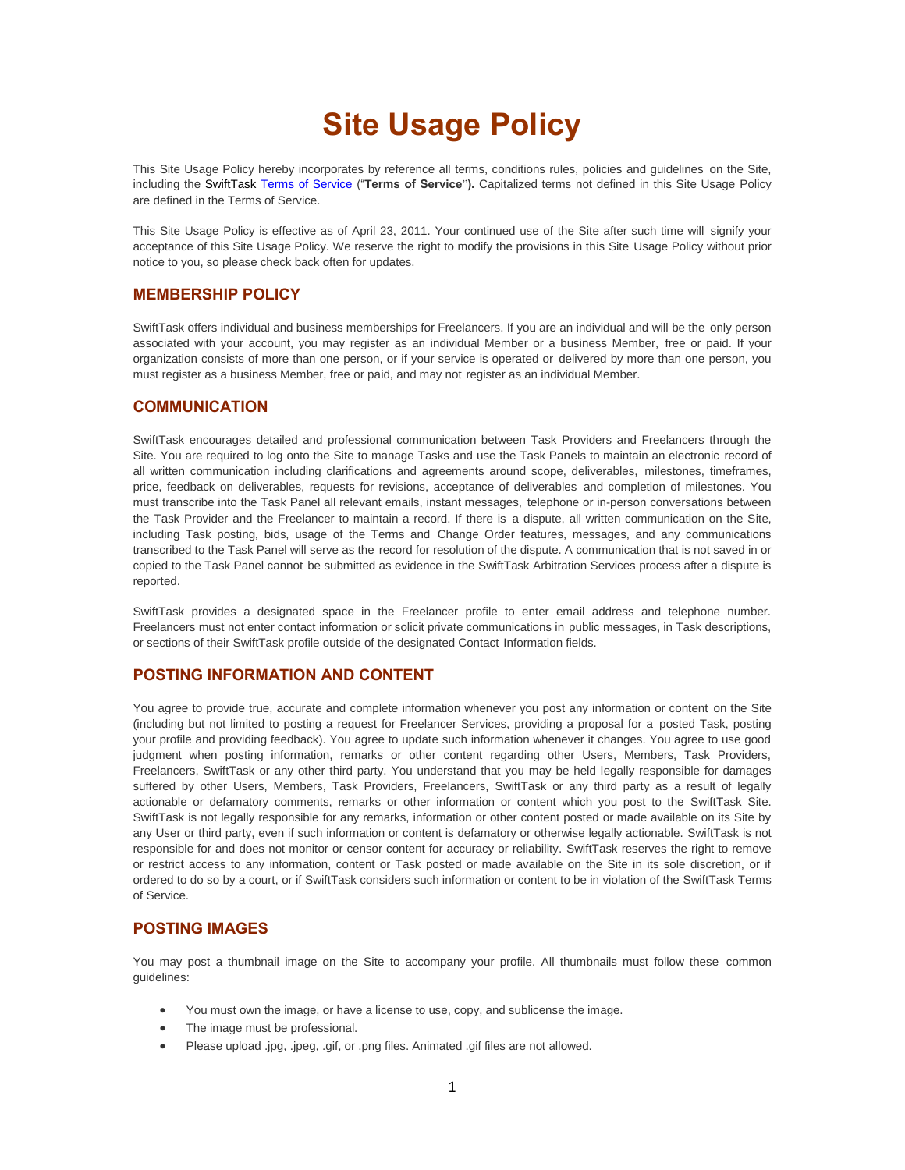# **Site Usage Policy**

This Site Usage Policy hereby incorporates by reference all terms, conditions rules, policies and guidelines on the Site, including the SwiftTask Terms of Service ("**Terms of Service**"**).** Capitalized terms not defined in this Site Usage Policy are defined in the Terms of Service.

This Site Usage Policy is effective as of April 23, 2011. Your continued use of the Site after such time will signify your acceptance of this Site Usage Policy. We reserve the right to modify the provisions in this Site Usage Policy without prior notice to you, so please check back often for updates.

## **MEMBERSHIP POLICY**

SwiftTask offers individual and business memberships for Freelancers. If you are an individual and will be the only person associated with your account, you may register as an individual Member or a business Member, free or paid. If your organization consists of more than one person, or if your service is operated or delivered by more than one person, you must register as a business Member, free or paid, and may not register as an individual Member.

## **COMMUNICATION**

SwiftTask encourages detailed and professional communication between Task Providers and Freelancers through the Site. You are required to log onto the Site to manage Tasks and use the Task Panels to maintain an electronic record of all written communication including clarifications and agreements around scope, deliverables, milestones, timeframes, price, feedback on deliverables, requests for revisions, acceptance of deliverables and completion of milestones. You must transcribe into the Task Panel all relevant emails, instant messages, telephone or in-person conversations between the Task Provider and the Freelancer to maintain a record. If there is a dispute, all written communication on the Site, including Task posting, bids, usage of the Terms and Change Order features, messages, and any communications transcribed to the Task Panel will serve as the record for resolution of the dispute. A communication that is not saved in or copied to the Task Panel cannot be submitted as evidence in the SwiftTask Arbitration Services process after a dispute is reported.

SwiftTask provides a designated space in the Freelancer profile to enter email address and telephone number. Freelancers must not enter contact information or solicit private communications in public messages, in Task descriptions, or sections of their SwiftTask profile outside of the designated Contact Information fields.

## **POSTING INFORMATION AND CONTENT**

You agree to provide true, accurate and complete information whenever you post any information or content on the Site (including but not limited to posting a request for Freelancer Services, providing a proposal for a posted Task, posting your profile and providing feedback). You agree to update such information whenever it changes. You agree to use good judgment when posting information, remarks or other content regarding other Users, Members, Task Providers, Freelancers, SwiftTask or any other third party. You understand that you may be held legally responsible for damages suffered by other Users, Members, Task Providers, Freelancers, SwiftTask or any third party as a result of legally actionable or defamatory comments, remarks or other information or content which you post to the SwiftTask Site. SwiftTask is not legally responsible for any remarks, information or other content posted or made available on its Site by any User or third party, even if such information or content is defamatory or otherwise legally actionable. SwiftTask is not responsible for and does not monitor or censor content for accuracy or reliability. SwiftTask reserves the right to remove or restrict access to any information, content or Task posted or made available on the Site in its sole discretion, or if ordered to do so by a court, or if SwiftTask considers such information or content to be in violation of the SwiftTask Terms of Service.

#### **POSTING IMAGES**

You may post a thumbnail image on the Site to accompany your profile. All thumbnails must follow these common guidelines:

- You must own the image, or have a license to use, copy, and sublicense the image.
- The image must be professional.
- Please upload .jpg, .jpeg, .gif, or .png files. Animated .gif files are not allowed.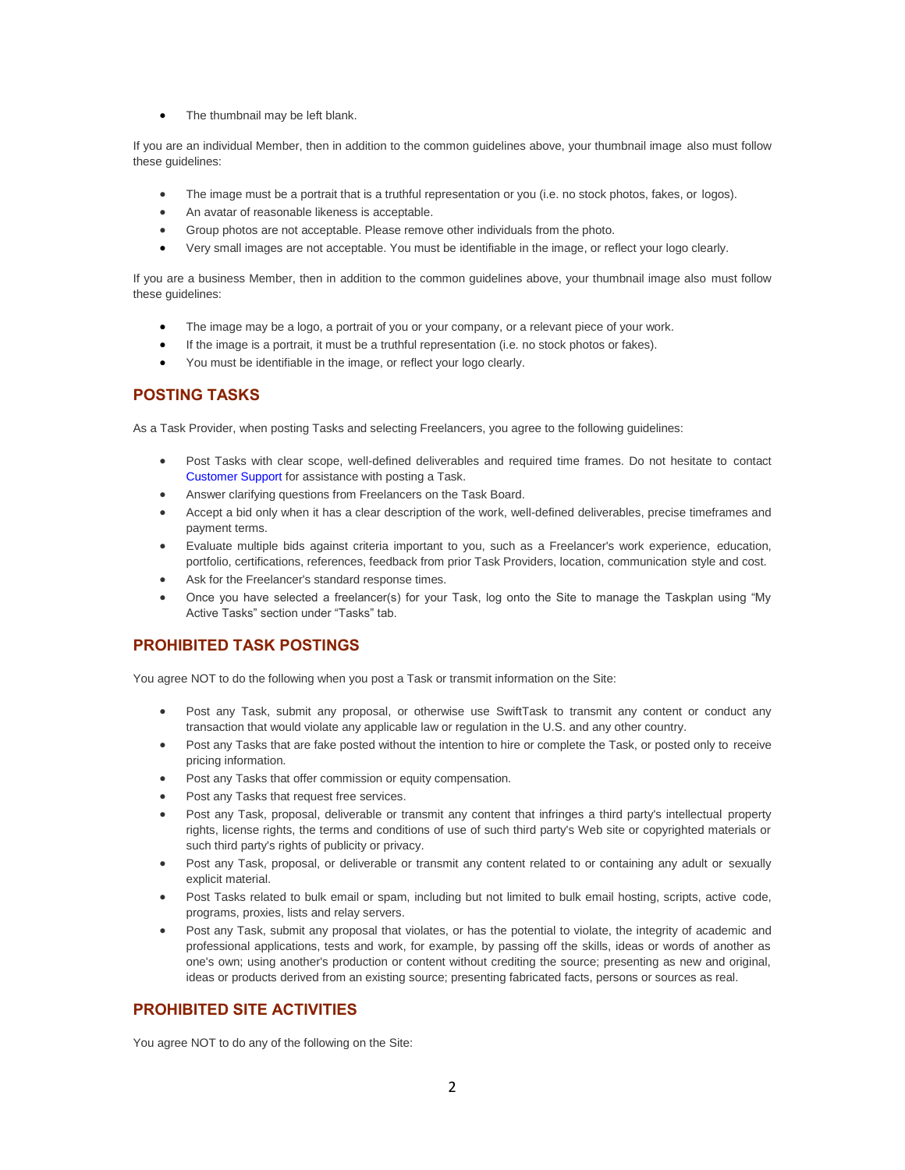• The thumbnail may be left blank.

If you are an individual Member, then in addition to the common guidelines above, your thumbnail image also must follow these guidelines:

- The image must be a portrait that is a truthful representation or you (i.e. no stock photos, fakes, or logos).
- An avatar of reasonable likeness is acceptable.
- Group photos are not acceptable. Please remove other individuals from the photo.
- Very small images are not acceptable. You must be identifiable in the image, or reflect your logo clearly.

If you are a business Member, then in addition to the common guidelines above, your thumbnail image also must follow these guidelines:

- The image may be a logo, a portrait of you or your company, or a relevant piece of your work.
- If the image is a portrait, it must be a truthful representation (i.e. no stock photos or fakes).
- You must be identifiable in the image, or reflect your logo clearly.

## **POSTING TASKS**

As a Task Provider, when posting Tasks and selecting Freelancers, you agree to the following guidelines:

- Post Tasks with clear scope, well-defined deliverables and required time frames. Do not hesitate to contact Customer Support for assistance with posting a Task.
- Answer clarifying questions from Freelancers on the Task Board.
- Accept a bid only when it has a clear description of the work, well-defined deliverables, precise timeframes and payment terms.
- Evaluate multiple bids against criteria important to you, such as a Freelancer's work experience, education, portfolio, certifications, references, feedback from prior Task Providers, location, communication style and cost.
- Ask for the Freelancer's standard response times.
- Once you have selected a freelancer(s) for your Task, log onto the Site to manage the Taskplan using "My Active Tasks" section under "Tasks" tab.

## **PROHIBITED TASK POSTINGS**

You agree NOT to do the following when you post a Task or transmit information on the Site:

- Post any Task, submit any proposal, or otherwise use SwiftTask to transmit any content or conduct any transaction that would violate any applicable law or regulation in the U.S. and any other country.
- Post any Tasks that are fake posted without the intention to hire or complete the Task, or posted only to receive pricing information.
- Post any Tasks that offer commission or equity compensation.
- Post any Tasks that request free services.
- Post any Task, proposal, deliverable or transmit any content that infringes a third party's intellectual property rights, license rights, the terms and conditions of use of such third party's Web site or copyrighted materials or such third party's rights of publicity or privacy.
- Post any Task, proposal, or deliverable or transmit any content related to or containing any adult or sexually explicit material.
- Post Tasks related to bulk email or spam, including but not limited to bulk email hosting, scripts, active code, programs, proxies, lists and relay servers.
- Post any Task, submit any proposal that violates, or has the potential to violate, the integrity of academic and professional applications, tests and work, for example, by passing off the skills, ideas or words of another as one's own; using another's production or content without crediting the source; presenting as new and original, ideas or products derived from an existing source; presenting fabricated facts, persons or sources as real.

# **PROHIBITED SITE ACTIVITIES**

You agree NOT to do any of the following on the Site: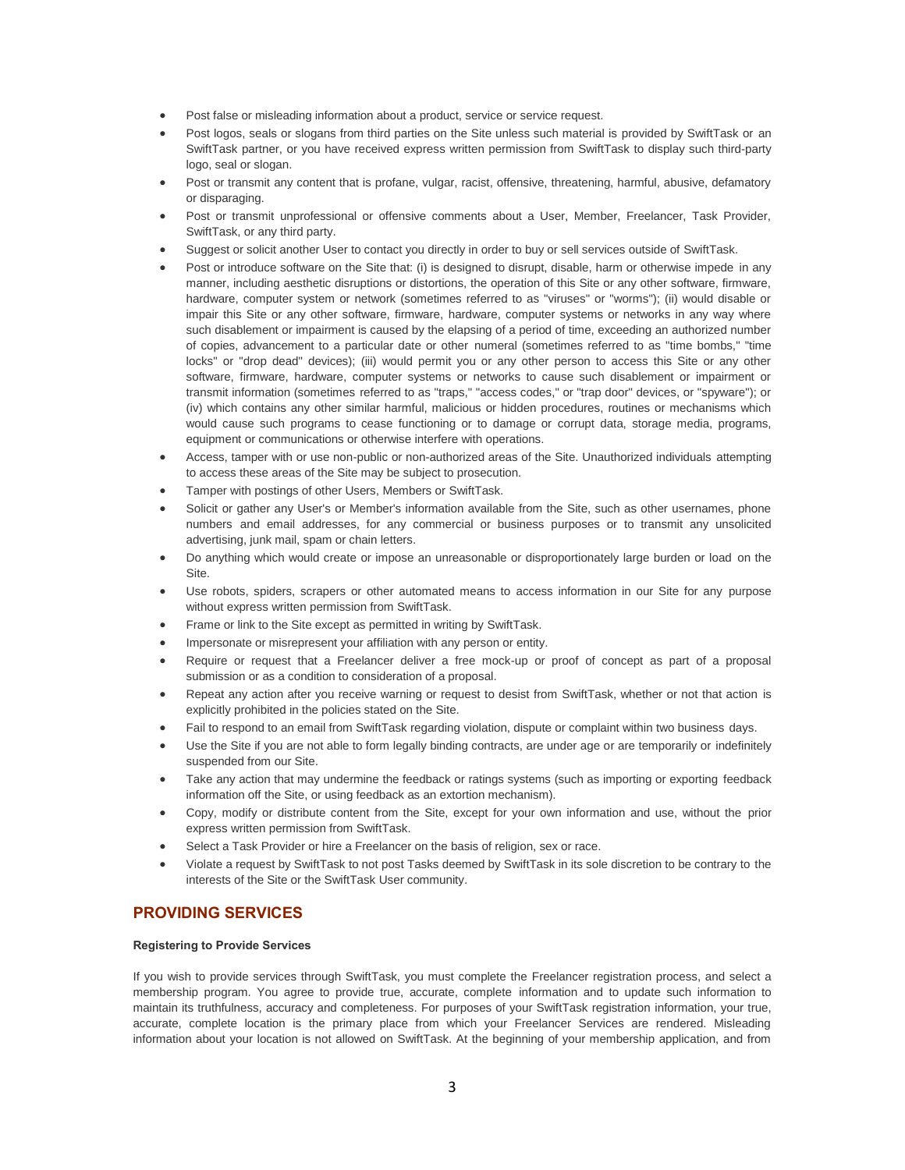- Post false or misleading information about a product, service or service request.
- Post logos, seals or slogans from third parties on the Site unless such material is provided by SwiftTask or an SwiftTask partner, or you have received express written permission from SwiftTask to display such third-party logo, seal or slogan.
- Post or transmit any content that is profane, vulgar, racist, offensive, threatening, harmful, abusive, defamatory or disparaging.
- Post or transmit unprofessional or offensive comments about a User, Member, Freelancer, Task Provider, SwiftTask, or any third party.
- Suggest or solicit another User to contact you directly in order to buy or sell services outside of SwiftTask.
- Post or introduce software on the Site that: (i) is designed to disrupt, disable, harm or otherwise impede in any manner, including aesthetic disruptions or distortions, the operation of this Site or any other software, firmware, hardware, computer system or network (sometimes referred to as "viruses" or "worms"); (ii) would disable or impair this Site or any other software, firmware, hardware, computer systems or networks in any way where such disablement or impairment is caused by the elapsing of a period of time, exceeding an authorized number of copies, advancement to a particular date or other numeral (sometimes referred to as "time bombs," "time locks" or "drop dead" devices); (iii) would permit you or any other person to access this Site or any other software, firmware, hardware, computer systems or networks to cause such disablement or impairment or transmit information (sometimes referred to as "traps," "access codes," or "trap door" devices, or "spyware"); or (iv) which contains any other similar harmful, malicious or hidden procedures, routines or mechanisms which would cause such programs to cease functioning or to damage or corrupt data, storage media, programs, equipment or communications or otherwise interfere with operations.
- Access, tamper with or use non-public or non-authorized areas of the Site. Unauthorized individuals attempting to access these areas of the Site may be subject to prosecution.
- Tamper with postings of other Users, Members or SwiftTask.
- Solicit or gather any User's or Member's information available from the Site, such as other usernames, phone numbers and email addresses, for any commercial or business purposes or to transmit any unsolicited advertising, junk mail, spam or chain letters.
- Do anything which would create or impose an unreasonable or disproportionately large burden or load on the Site.
- Use robots, spiders, scrapers or other automated means to access information in our Site for any purpose without express written permission from SwiftTask.
- Frame or link to the Site except as permitted in writing by SwiftTask.
- Impersonate or misrepresent your affiliation with any person or entity.
- Require or request that a Freelancer deliver a free mock-up or proof of concept as part of a proposal submission or as a condition to consideration of a proposal.
- Repeat any action after you receive warning or request to desist from SwiftTask, whether or not that action is explicitly prohibited in the policies stated on the Site.
- Fail to respond to an email from SwiftTask regarding violation, dispute or complaint within two business days.
- Use the Site if you are not able to form legally binding contracts, are under age or are temporarily or indefinitely suspended from our Site.
- Take any action that may undermine the feedback or ratings systems (such as importing or exporting feedback information off the Site, or using feedback as an extortion mechanism).
- Copy, modify or distribute content from the Site, except for your own information and use, without the prior express written permission from SwiftTask.
- Select a Task Provider or hire a Freelancer on the basis of religion, sex or race.
- Violate a request by SwiftTask to not post Tasks deemed by SwiftTask in its sole discretion to be contrary to the interests of the Site or the SwiftTask User community.

#### **PROVIDING SERVICES**

#### **Registering to Provide Services**

If you wish to provide services through SwiftTask, you must complete the Freelancer registration process, and select a membership program. You agree to provide true, accurate, complete information and to update such information to maintain its truthfulness, accuracy and completeness. For purposes of your SwiftTask registration information, your true, accurate, complete location is the primary place from which your Freelancer Services are rendered. Misleading information about your location is not allowed on SwiftTask. At the beginning of your membership application, and from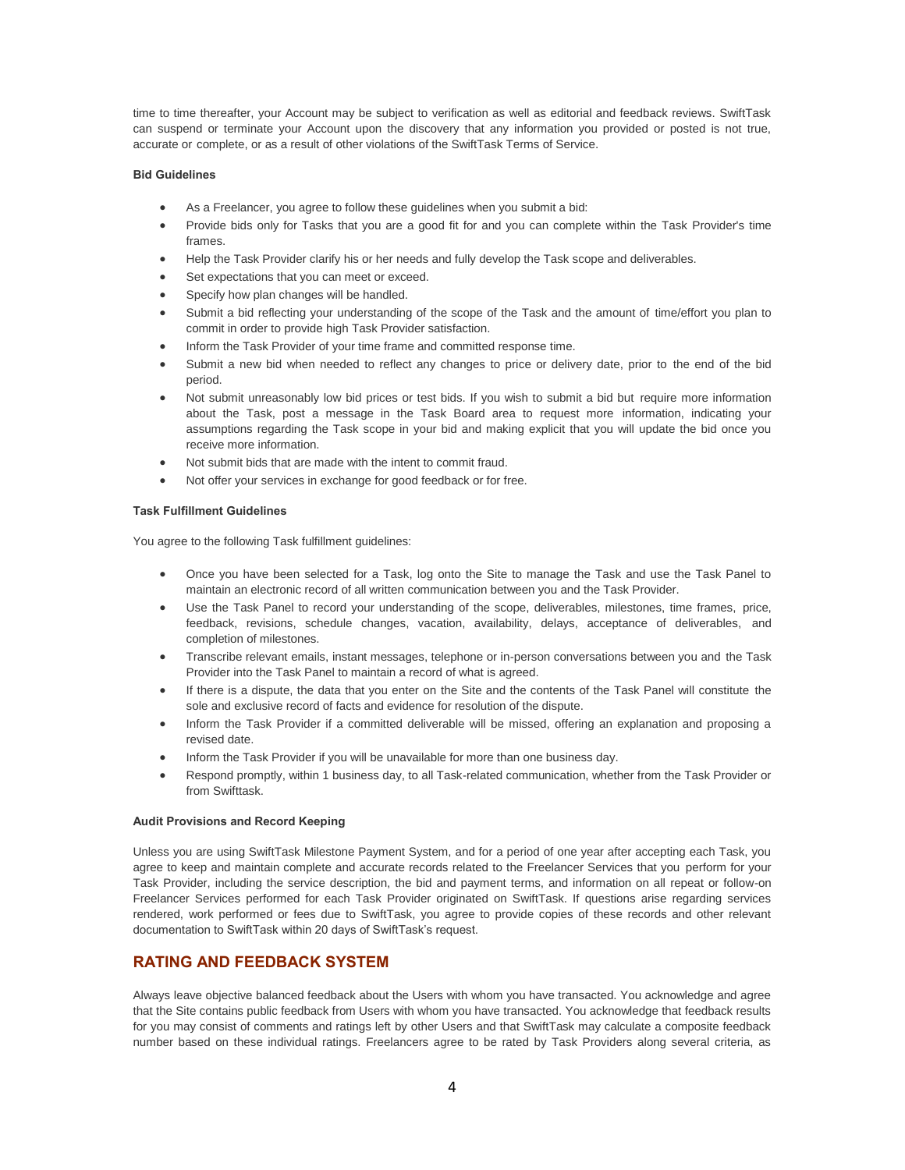time to time thereafter, your Account may be subject to verification as well as editorial and feedback reviews. SwiftTask can suspend or terminate your Account upon the discovery that any information you provided or posted is not true, accurate or complete, or as a result of other violations of the SwiftTask Terms of Service.

#### **Bid Guidelines**

- As a Freelancer, you agree to follow these guidelines when you submit a bid:
- Provide bids only for Tasks that you are a good fit for and you can complete within the Task Provider's time frames.
- Help the Task Provider clarify his or her needs and fully develop the Task scope and deliverables.
- Set expectations that you can meet or exceed.
- Specify how plan changes will be handled.
- Submit a bid reflecting your understanding of the scope of the Task and the amount of time/effort you plan to commit in order to provide high Task Provider satisfaction.
- Inform the Task Provider of your time frame and committed response time.
- Submit a new bid when needed to reflect any changes to price or delivery date, prior to the end of the bid period.
- Not submit unreasonably low bid prices or test bids. If you wish to submit a bid but require more information about the Task, post a message in the Task Board area to request more information, indicating your assumptions regarding the Task scope in your bid and making explicit that you will update the bid once you receive more information.
- Not submit bids that are made with the intent to commit fraud.
- Not offer your services in exchange for good feedback or for free.

#### **Task Fulfillment Guidelines**

You agree to the following Task fulfillment guidelines:

- Once you have been selected for a Task, log onto the Site to manage the Task and use the Task Panel to maintain an electronic record of all written communication between you and the Task Provider.
- Use the Task Panel to record your understanding of the scope, deliverables, milestones, time frames, price, feedback, revisions, schedule changes, vacation, availability, delays, acceptance of deliverables, and completion of milestones.
- Transcribe relevant emails, instant messages, telephone or in-person conversations between you and the Task Provider into the Task Panel to maintain a record of what is agreed.
- If there is a dispute, the data that you enter on the Site and the contents of the Task Panel will constitute the sole and exclusive record of facts and evidence for resolution of the dispute.
- Inform the Task Provider if a committed deliverable will be missed, offering an explanation and proposing a revised date.
- Inform the Task Provider if you will be unavailable for more than one business day.
- Respond promptly, within 1 business day, to all Task-related communication, whether from the Task Provider or from Swifttask.

#### **Audit Provisions and Record Keeping**

Unless you are using SwiftTask Milestone Payment System, and for a period of one year after accepting each Task, you agree to keep and maintain complete and accurate records related to the Freelancer Services that you perform for your Task Provider, including the service description, the bid and payment terms, and information on all repeat or follow-on Freelancer Services performed for each Task Provider originated on SwiftTask. If questions arise regarding services rendered, work performed or fees due to SwiftTask, you agree to provide copies of these records and other relevant documentation to SwiftTask within 20 days of SwiftTask's request.

## **RATING AND FEEDBACK SYSTEM**

Always leave objective balanced feedback about the Users with whom you have transacted. You acknowledge and agree that the Site contains public feedback from Users with whom you have transacted. You acknowledge that feedback results for you may consist of comments and ratings left by other Users and that SwiftTask may calculate a composite feedback number based on these individual ratings. Freelancers agree to be rated by Task Providers along several criteria, as